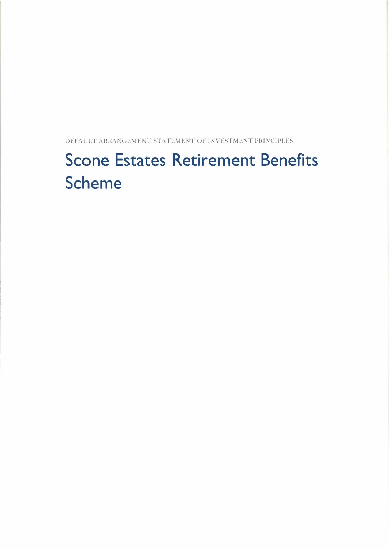DEFAULT' ARRANGEMENT STATEMENT OF INVESTMENT PRINCIPLES

# **Scone Estates Retirement Benefits Scheme**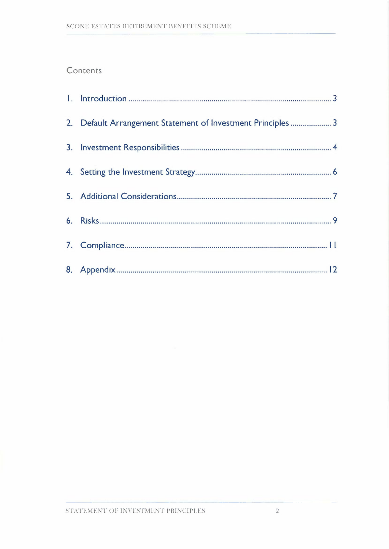# **Contents**

| 2. Default Arrangement Statement of Investment Principles  3 |
|--------------------------------------------------------------|
|                                                              |
|                                                              |
|                                                              |
|                                                              |
|                                                              |
|                                                              |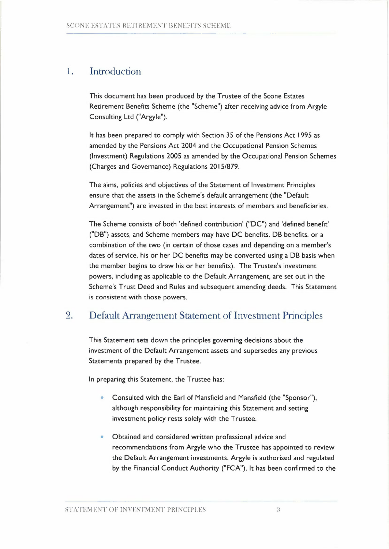## 1. Introduction

This document has been produced by the Trustee of the Scone Estates Retirement Benefits Scheme (the "Scheme") after receiving advice from Argyle Consulting Ltd ("Argyle").

It has been prepared to comply with Section 35 of the Pensions Act 1995 as amended by the Pensions Act 2004 and the Occupational Pension Schemes (Investment) Regulations 2005 as amended by the Occupational Pension Schemes (Charges and Governance) Regulations 2015/879.

The aims, policies and objectives of the Statement of Investment Principles ensure that the assets in the Scheme's default arrangement (the "Default Arrangement") are invested in the best interests of members and beneficiaries.

The Scheme consists of both 'defined contribution' ("DC") and 'defined benefit' ("DB") assets, and Scheme members may have DC benefits, DB benefits, or a combination of the two (in certain of those cases and depending on a member's dates of service, his or her DC benefits may be converted using a DB basis when the member begins to draw his or her benefits). The Trustee's investment powers, including as applicable to the Default Arrangement, are set out in the Scheme's Trust Deed and Rules and subsequent amending deeds. This Statement is consistent with those powers.

# 2. Default Arrangement Statement of Investment Principles

This Statement sets down the principles governing decisions about the investment of the Default Arrangement assets and supersedes any previous Statements prepared by the Trustee.

In preparing this Statement, the Trustee has:

- Consulted with the Earl of Mansfield and Mansfield (the "Sponsor"), although responsibility for maintaining this Statement and setting investment policy rests solely with the Trustee.
- Obtained and considered written professional advice and recommendations from Argyle who the Trustee has appointed to review the Default Arrangement investments. Argyle is authorised and regulated by the Financial Conduct Authority ("FCA"). It has been confirmed to the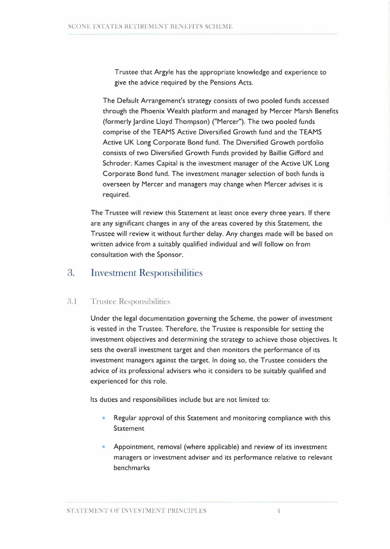Trustee that Argyle has the appropriate knowledge and experience to give the advice required by the Pensions Acts.

The Default Arrangement's strategy consists of two pooled funds accessed through the Phoenix Wealth platform and managed by Mercer Marsh Benefits (formerly Jardine Lloyd Thompson) ("Mercer"). The two pooled funds comprise of the TEAMS Active Diversified Growth fund and the TEAMS Active UK Long Corporate Bond fund. The Diversified Growth portfolio consists of two Diversified Growth Funds provided by Baillie Gifford and Schroder. Kames Capital is the investment manager of the Active UK Long Corporate Bond fund. The investment manager selection of both funds is overseen by Mercer and managers may change when Mercer advises it is required.

The Trustee will review this Statement at least once every three years. If there are any significant changes in any of the areas covered by this Statement, the Trustee will review it without further delay. Any changes made will be based on written advice from a suitably qualified individual and will follow on from consultation with the Sponsor.

## 3. Investment Responsibilities

## 3.1 Trustee Responsibilities

Under the legal documentation governing the Scheme, the power of investment is vested in the Trustee. Therefore, the Trustee is responsible for setting the investment objectives and determining the strategy to achieve those objectives. It sets the overall investment target and then monitors the performance of its investment managers against the target. In doing so, the Trustee considers the advice of its professional advisers who it considers to be suitably qualified and experienced for this role.

Its duties and responsibilities include but are not limited to:

- Regular approval of this Statement and monitoring compliance with this Statement
- Appointment, removal (where applicable) and review of its investment managers or investment adviser and its performance relative to relevant benchmarks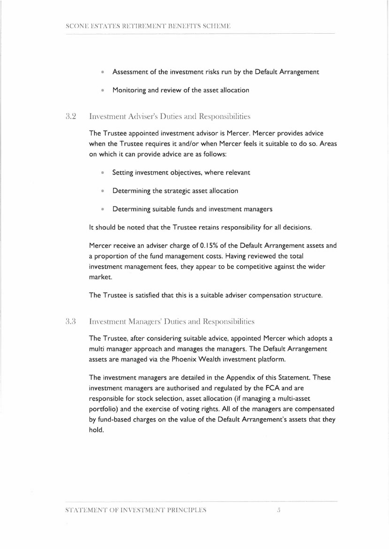- Assessment of the investment risks run by the Default Arrangement
- Monitoring and review of the asset allocation

#### 3.2 Investment Adviser's Duties and Responsibilities

The Trustee appointed investment advisor is Mercer. Mercer provides advice when the Trustee requires it and/or when Mercer feels it suitable to do so. Areas on which it can provide advice are as follows:

- Setting investment objectives, where relevant
- Determining the strategic asset allocation
- Determining suitable funds and investment managers

It should be noted that the Trustee retains responsibility for all decisions.

Mercer receive an adviser charge of 0.15% of the Default Arrangement assets and a proportion of the fund management costs. Having reviewed the total investment management fees, they appear to be competitive against the wider market.

The Trustee is satisfied that this is a suitable adviser compensation structure.

## 3.8 Investment Managers' Duties and Responsibilities

The Trustee, after considering suitable advice, appointed Mercer which adopts a multi manager approach and manages the managers. The Default Arrangement assets are managed via the Phoenix Wealth investment platform.

The investment managers are detailed in the Appendix of this Statement. These investment managers are authorised and regulated by the FCA and are responsible for stock selection, asset allocation (if managing a multi-asset portfolio) and the exercise of voting rights. All of the managers are compensated by fund-based charges on the value of the Default Arrangement's assets that they hold.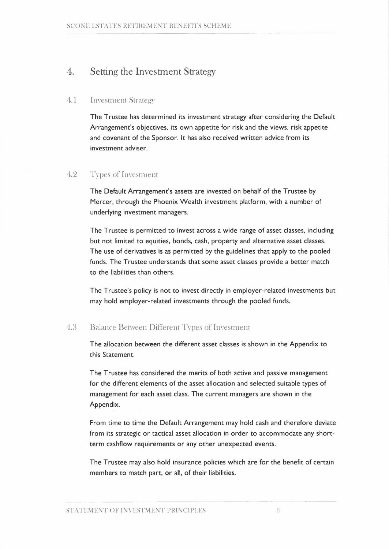## 4. Setting the Investment Strategy

## 1.1 Investment Strategy

The Trustee has determined its investment strategy after considering the Default Arrangement's objectives, its own appetite for risk and the views, risk appetite and covenant of the Sponsor. It has also received written advice from its investment adviser.

## 1.2 'Types of Investment

The Default Arrangement's assets are invested on behalf of the Trustee by Mercer, through the Phoenix Wealth investment platform, with a number of underlying investment managers.

The Trustee is permitted to invest across a wide range of asset classes, including but not limited to equities, bonds, cash, property and alternative asset classes. The use of derivatives is as permitted by the guidelines that apply to the pooled funds. The Trustee understands that some asset classes provide a better match to the liabilities than others.

The Trustee's policy is not to invest directly in employer-related investments but may hold employer-related investments through the pooled funds.

## 4.8 Balance Between Different Types of Investment

The allocation between the different asset classes is shown in the Appendix to this Statement.

The Trustee has considered the merits of both active and passive management for the different elements of the asset allocation and selected suitable types of management for each asset class. The current managers are shown in the Appendix.

From time to time the Default Arrangement may hold cash and therefore deviate from its strategic or tactical asset allocation in order to accommodate any shortterm cashflow requirements or any other unexpected events.

The Trustee may also hold insurance policies which are for the benefit of certain members to match part, or all, of their liabilities.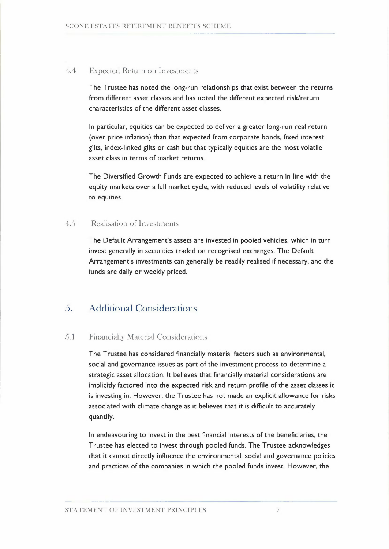## 4.4 Expected Return on Investments

The Trustee has noted the long-run relationships that exist between the returns from different asset classes and has noted the different expected risk/return characteristics of the different asset classes.

In particular, equities can be expected to deliver a greater long-run real return (over price inflation) than that expected from corporate bonds, fixed interest gilts, index-linked gilts or cash but that typically equities are the most volatile asset class in terms of market returns.

The Diversified Growth Funds are expected to achieve a return in line with the equity markets over a full market cycle, with reduced levels of volatility relative to equities.

## 4.5 Realisation of Investments

The Default Arrangement's assets are invested in pooled vehicles, which in turn invest generally in securities traded on recognised exchanges. The Default Arrangement's investments can generally be readily realised if necessary, and the funds are daily or weekly priced.

# 5. Additional Considerations

## 5.1 Financially Material Considerations

The Trustee has considered financially material factors such as environmental, social and governance issues as part of the investment process to determine a strategic asset allocation. It believes that financially material considerations are implicitly factored into the expected risk and return profile of the asset classes it is investing in. However, the Trustee has not made an explicit allowance for risks associated with climate change as it believes that it is difficult to accurately quantify.

In endeavouring to invest in the best financial interests of the beneficiaries, the Trustee has elected to invest through pooled funds. The Trustee acknowledges that it cannot directly influence the environmental, social and governance policies and practices of the companies in which the pooled funds invest. However, the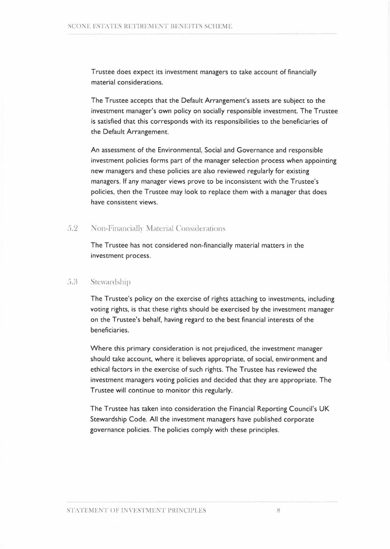Trustee does expect its investment managers to take account of financially material considerations.

The Trustee accepts that the Default Arrangement's assets are subject to the investment manager's own policy on socially responsible investment. The Trustee is satisfied that this corresponds with its responsibilities to the beneficiaries of the Default Arrangement.

An assessment of the Environmental, Social and Governance and responsible investment policies forms part of the manager selection process when appointing new managers and these policies are also reviewed regularly for existing managers. If any manager views prove to be inconsistent with the Trustee's policies, then the Trustee may look to replace them with a manager that does have consistent **views.** 

## 5.2 Non-Financially Material Considerations

The Trustee has not considered non-financially material matters in the investment process.

## 5.8 Stewardship

The Trustee's policy on the exercise of rights attaching to investments, including voting rights, is that these rights should be exercised by the investment manager on the Trustee's behalf, having regard to the best financial interests of the beneficiaries.

Where this primary consideration is not prejudiced, the investment manager should take account, where it believes appropriate, of social, environment and ethical factors in the exercise of such rights. The Trustee has reviewed the investment managers voting policies and decided that they are appropriate. The Trustee will continue to monitor this regularly.

The Trustee has taken into consideration the Financial Reporting Council's UK Stewardship Code. All the investment managers have published corporate governance policies. The policies comply with these principles.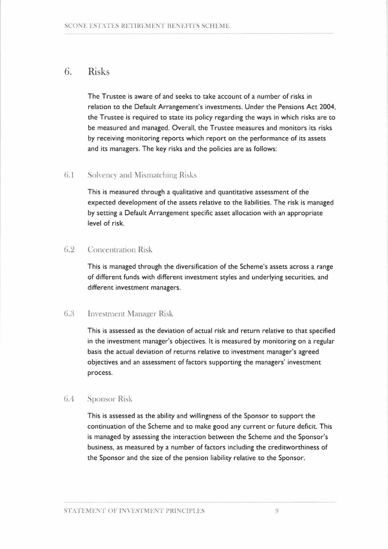## 6. Risks

The Trustee is aware of and seeks to take account of a number of risks in relation to the Default Arrangement's investments. Under the Pensions Act 2004, the Trustee is required to state its policy regarding the ways in which risks are to be measured and managed. Overall, the Trustee measures and monitors its risks by receiving monitoring reports which report on the performance of its assets and its managers. The key risks and the policies are as follows:

## 6.1 Solvency and Mismatching Risks

This is measured through a qualitative and quantitative assessment of the expected development of the assets relative to the liabilities. The risk is managed by setting a Default Arrangement specific asset allocation with an appropriate level of risk.

## 6.2 Concentration Risk

This is managed through the diversification of the Scheme's assets across a range of different funds with different investment styles and underlying securities, and different investment managers.

## 6.3 Investment Manager Risk

This is assessed as the deviation of actual risk and return relative to that specified in the investment manager's objectives. It is measured by monitoring on a regular basis the actual deviation of returns relative to investment manager's agreed objectives and an assessment of factors supporting the managers' investment process.

#### 6.4 Sponsor Risk

This is assessed as the ability and willingness of the Sponsor to support the continuation of the Scheme and to make good any current or future deficit. This is managed by assessing the interaction between the Scheme and the Sponsor's business, as measured by a number of factors including the creditworthiness of the Sponsor and the size of the pension liability relative to the Sponsor.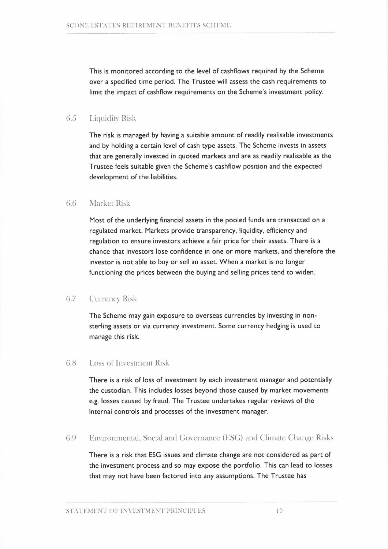This is monitored according to the level of cashflows required by the Scheme over a specified time period. The Trustee will assess the cash requirements to limit the impact of cashflow requirements on the Scheme's investment policy.

## 6.5 Liquidity Risk

The risk is managed by having a suitable amount of readily realisable investments and by holding a certain level of cash type assets. The Scheme invests in assets that are generally invested in quoted markets and are as readily realisable as the Trustee feels suitable given the Scheme's cashflow position and the expected development of the liabilities.

## 6.6 Market Risk

Most of the underlying financial assets in the pooled funds are transacted on a regulated market. Markets provide transparency, liquidity, efficiency and regulation to ensure investors achieve a fair price for their assets. There is a chance that investors lose confidence in one or more markets, and therefore the investor is not able to buy or sell an asset. When a market is no longer functioning the prices between the buying and selling prices tend to widen.

## 6.7 Currency Risk

The Scheme may gain exposure to overseas currencies by investing in nonsterling assets or via currency investment. Some currency hedging is used to manage this risk.

## 6.8 Loss of Investment Risk

There is a risk of loss of investment by each investment manager and potentially the custodian. This includes losses beyond those caused by market movements e.g. losses caused by fraud. The Trustee undertakes regular reviews of the internal controls and processes of the investment manager.

## 6.9 Environmental, Social and Governance (ESG) and Climate Change Risks

There is a risk that ESG issues and climate change are not considered as part of the investment process and so may expose the portfolio. This can lead to losses<br>that may not have been factored into any assumptions. The Trustee has<br>MENT OF INVESTMENT PRINCIPLES that may not have been factored into any assumptions. The Trustee has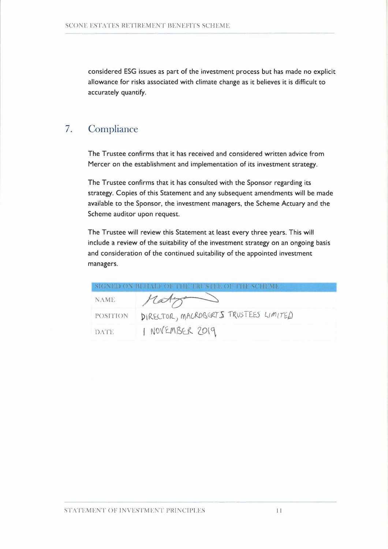considered ESG issues as part of the investment process but has made no explicit allowance for risks associated with climate change as it believes it is difficult to accurately quantify.

# 7. Compliance

The Trustee confirms that it has received and considered written advice from Mercer on the establishment and implementation of its investment strategy.

The Trustee confirms that it has consulted with the Sponsor regarding its strategy. Copies of this Statement and any subsequent amendments will be made available to the Sponsor, the investment managers, the Scheme Actuary and the Scheme auditor upon request.

The Trustee will review this Statement at least every three years. This will include a review of the suitability of the investment strategy on an ongoing basis and consideration of the continued suitability of the appointed investment managers.

|                 | SIGNED ON BEHALF OF THE TIME TEE OF THE SCHEME |
|-----------------|------------------------------------------------|
| <b>NAME</b>     |                                                |
| <b>POSITION</b> | DIRECTOR, MACROBERTS TRUSTEES LIMITED          |
| <b>DATE</b>     | I NOVEMBER 2019                                |